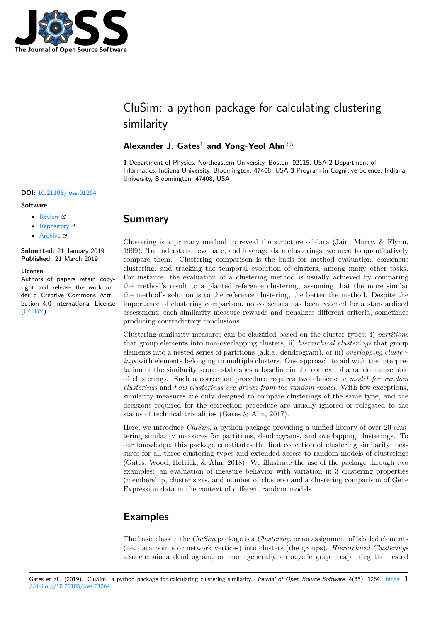

# CluSim: a python package for calculating clustering similarity

### Alexander J. Gates<sup>1</sup> and Yong-Yeol Ahn<sup>2,3</sup>

**1** Department of Physics, Northeastern University, Boston, 02115, USA **2** Department of Informatics, Indiana University, Bloomington, 47408, USA **3** Program in Cognitive Science, Indiana University, Bloomington, 47408, USA

#### **DOI:** 10.21105/joss.01264

#### **Software**

- Review C
- [Repository](https://doi.org/10.21105/joss.01264) &
- Archive

**Subm[itted:](https://github.com/openjournals/joss-reviews/issues/1264)** 21 January 2019 **Published:** [21 M](https://github.com/Hoosier-Clusters/clusim)arch 2019

#### **Licen[se](https://doi.org/10.5281/zenodo.2601868)**

Authors of papers retain copyright and release the work under a Creative Commons Attribution 4.0 International License (CC-BY).

# **Summary**

Clustering is a primary method to reveal the structure of data (Jain, Murty, & Flynn, 1999). To understand, evaluate, and leverage data clusterings, we need to quantitatively compare them. Clustering comparison is the basis for method evaluation, consensus clustering, and tracking the temporal evolution of clusters, among many other tasks. For instance, the evaluation of a clustering method is usually achieved by comparing the method's result to a planted reference clustering, assuming that the more similar the method's solution is to the reference clustering, the better the method. Despite the importance of clustering comparison, no consensus has been reached for a standardized assessment; each similarity measure rewards and penalizes different criteria, sometimes producing contradictory conclusions.

Clustering similarity measures can be classified based on the cluster types: i) *partitions* that group elements into non-overlapping clusters, ii) *hierarchical clusterings* that group elements into a nested series of partitions (a.k.a. dendrogram), or iii) *overlapping clusterings* with elements belonging to multiple clusters. One approach to aid with the interpretation of the similarity score establishes a baseline in the context of a random ensemble of clusterings. Such a correction procedure requires two choices: *a model for random clusterings* and *how clusterings are drawn from the random model*. With few exceptions, similarity measures are only designed to compare clusterings of the same type, and the decisions required for the correction procedure are usually ignored or relegated to the status of technical trivialities (Gates & Ahn, 2017).

Here, we introduce *CluSim*, a python package providing a unified library of over 20 clustering similarity measures for partitions, dendrograms, and overlapping clusterings. To our knowledge, this package constitutes the first collection of clustering similarity measures for all three clustering types and extended access to random models of clusterings (Gates, Wood, Hetrick, & Ahn, 2018). We illustrate the use of the package through two examples: an evaluation of measure behavior with variation in 3 clustering properties (membership, cluster sizes, and number of clusters) and a clustering comparison of Gene Expression data in the context of different random models.

### **Examples**

The basic class in the *CluSim* package is a *Clustering*, or an assignment of labeled elements (i.e. data points or network vertices) into clusters (the groups). *Hierarchical Clusterings* also contain a dendrogram, or more generally an acyclic graph, capturing the nested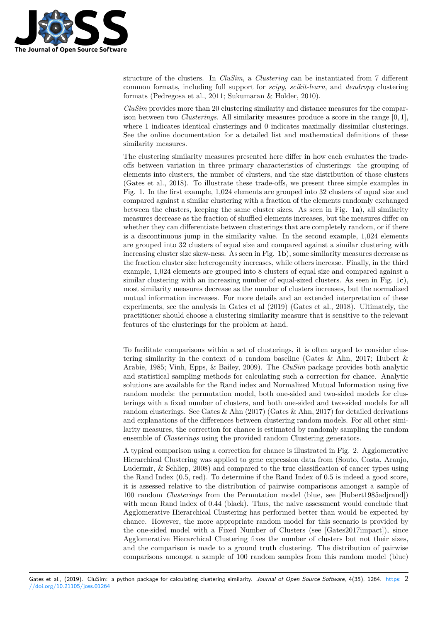

structure of the clusters. In *CluSim*, a *Clustering* can be instantiated from 7 different common formats, including full support for *scipy*, *scikit-learn*, and *dendropy* clustering formats (Pedregosa et al., 2011; Sukumaran & Holder, 2010).

*CluSim* provides more than 20 clustering similarity and distance measures for the comparison between two *Clusterings*. All similarity measures produce a score in the range [0*,* 1], where 1 indicates identical clusterings and 0 indicates maximally dissimilar clusterings. See the online documentation for a detailed list and mathematical definitions of these similarity measures.

The clustering similarity measures presented here differ in how each evaluates the tradeoffs between variation in three primary characteristics of clusterings: the grouping of elements into clusters, the number of clusters, and the size distribution of those clusters (Gates et al., 2018). To illustrate these trade-offs, we present three simple examples in Fig. 1. In the first example, 1,024 elements are grouped into 32 clusters of equal size and compared against a similar clustering with a fraction of the elements randomly exchanged between the clusters, keeping the same cluster sizes. As seen in Fig. 1**a**), all similarity measures decrease as the fraction of shuffled elements increases, but the measures differ on whether they can differentiate between clusterings that are completely random, or if there is a discontinuous jump in the similarity value. In the second example, 1,024 elements are grouped into 32 clusters of equal size and compared against a similar clustering with increasing cluster size skew-ness. As seen in Fig. 1**b**), some similarity measures decrease as the fraction cluster size heterogeneity increases, while others increase. Finally, in the third example, 1,024 elements are grouped into 8 clusters of equal size and compared against a similar clustering with an increasing number of equal-sized clusters. As seen in Fig. 1**c**), most similarity measures decrease as the number of clusters increases, but the normalized mutual information increases. For more details and an extended interpretation of these experiments, see the analysis in Gates et al (2019) (Gates et al., 2018). Ultimately, the practitioner should choose a clustering similarity measure that is sensitive to the relevant features of the clusterings for the problem at hand.

To facilitate comparisons within a set of clusterings, it is often argued to consider clustering similarity in the context of a random baseline (Gates & Ahn, 2017; Hubert & Arabie, 1985; Vinh, Epps, & Bailey, 2009). The *CluSim* package provides both analytic and statistical sampling methods for calculating such a correction for chance. Analytic solutions are available for the Rand index and Normalized Mutual Information using five random models: the permutation model, both one-sided and two-sided models for clusterings with a fixed number of clusters, and both one-sided and two-sided models for all random clusterings. See Gates  $\&$  Ahn (2017) (Gates  $\&$  Ahn, 2017) for detailed derivations and explanations of the differences between clustering random models. For all other similarity measures, the correction for chance is estimated by randomly sampling the random ensemble of *Clusterings* using the provided random Clustering generators.

A typical comparison using a correction for chance is illustrated in Fig. 2. Agglomerative Hierarchical Clustering was applied to gene expression data from (Souto, Costa, Araujo, Ludermir, & Schliep, 2008) and compared to the true classification of cancer types using the Rand Index (0*.*5, red). To determine if the Rand Index of 0*.*5 is indeed a good score, it is assessed relative to the distribution of pairwise comparisons amongst a sample of 100 random *Clusterings* from the Permutation model (blue, see [Hubert1985adjrand]) with mean Rand index of 0*.*44 (black). Thus, the naive assessment would conclude that Agglomerative Hierarchical Clustering has performed better than would be expected by chance. However, the more appropriate random model for this scenario is provided by the one-sided model with a Fixed Number of Clusters (see [Gates2017impact]), since Agglomerative Hierarchical Clustering fixes the number of clusters but not their sizes, and the comparison is made to a ground truth clustering. The distribution of pairwise comparisons amongst a sample of 100 random samples from this random model (blue)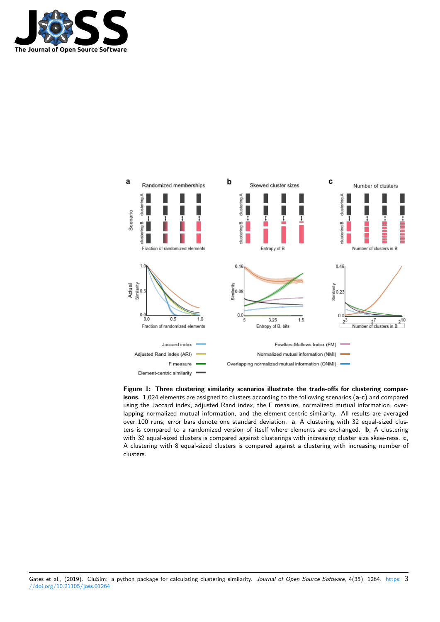



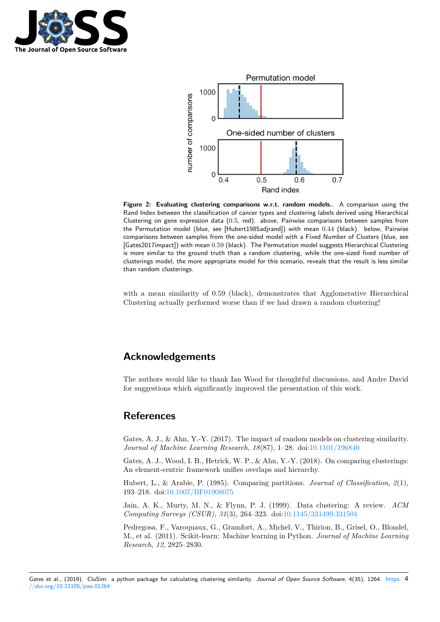



**Figure 2: Evaluating clustering comparisons w.r.t. random models.**. A comparison using the Rand Index between the classification of cancer types and clustering labels derived using Hierarchical Clustering on gene expression data (0*.*5, red). above, Pairwise comparisons between samples from the Permutation model (blue, see [Hubert1985adjrand]) with mean 0*.*44 (black). below, Pairwise comparisons between samples from the one-sided model with a Fixed Number of Clusters (blue, see [Gates2017impact]) with mean 0*.*59 (black). The Permutation model suggests Hierarchical Clustering is more similar to the ground truth than a random clustering, while the one-sized fixed number of clusterings model, the more appropriate model for this scenario, reveals that the result is less similar than random clusterings.

with a mean similarity of 0.59 (black), demonstrates that Agglomerative Hierarchical Clustering actually performed worse than if we had drawn a random clustering!

# **Acknowledgements**

The authors would like to thank Ian Wood for thoughtful discussions, and Andre David for suggestions which significantly improved the presentation of this work.

### **References**

Gates, A. J., & Ahn, Y.-Y. (2017). The impact of random models on clustering similarity. *Journal of Machine Learning Research*, *18*(87), 1–28. doi:10.1101/196840

Gates, A. J., Wood, I. B., Hetrick, W. P., & Ahn, Y.-Y. (2018). On comparing clusterings: An element-centric framework unifies overlaps and hierarchy.

Hubert, L., & Arabie, P. (1985). Comparing partitions. *[Journal of Clas](https://doi.org/10.1101/196840)sification*, *2*(1), 193–218. doi:10.1007/BF01908075

Jain, A. K., Murty, M. N., & Flynn, P. J. (1999). Data clustering: A review. *ACM Computing Surveys (CSUR)*, *31*(3), 264–323. doi:10.1145/331499.331504

Pedregosa, F[., Varoquaux, G., Gra](https://doi.org/10.1007/BF01908075)mfort, A., Michel, V., Thirion, B., Grisel, O., Blondel, M., et al. (2011). Scikit-learn: Machine learning in Python. *Journal of Machine Learning Research*, *12*, 2825–2830.